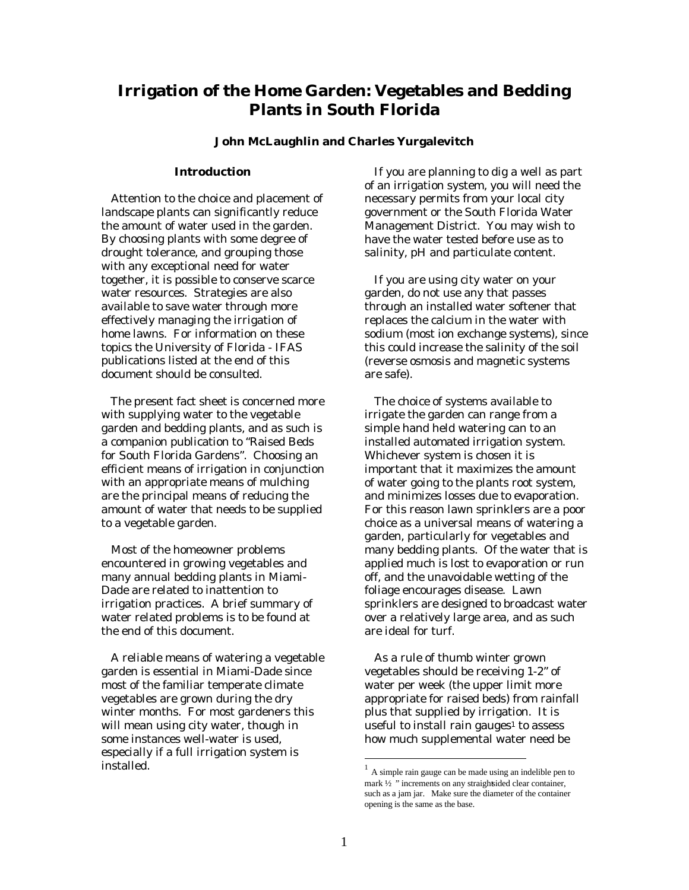# **Irrigation of the Home Garden: Vegetables and Bedding Plants in South Florida**

## **John McLaughlin and Charles Yurgalevitch**

#### **Introduction**

Attention to the choice and placement of landscape plants can significantly reduce the amount of water used in the garden. By choosing plants with some degree of drought tolerance, and grouping those with any exceptional need for water together, it is possible to conserve scarce water resources. Strategies are also available to save water through more effectively managing the irrigation of home lawns. For information on these topics the University of Florida - IFAS publications listed at the end of this document should be consulted.

 The present fact sheet is concerned more with supplying water to the vegetable garden and bedding plants, and as such is a companion publication to "Raised Beds for South Florida Gardens". Choosing an efficient means of irrigation in conjunction with an appropriate means of mulching are the principal means of reducing the amount of water that needs to be supplied to a vegetable garden.

 Most of the homeowner problems encountered in growing vegetables and many annual bedding plants in Miami-Dade are related to inattention to irrigation practices. A brief summary of water related problems is to be found at the end of this document.

 A reliable means of watering a vegetable garden is essential in Miami-Dade since most of the familiar temperate climate vegetables are grown during the dry winter months. For most gardeners this will mean using city water, though in some instances well-water is used, especially if a full irrigation system is installed.

 If you are planning to dig a well as part of an irrigation system, you will need the necessary permits from your local city government or the South Florida Water Management District. You may wish to have the water tested before use as to salinity, pH and particulate content.

 If you are using city water on your garden, do not use any that passes through an installed water softener that replaces the calcium in the water with sodium (most ion exchange systems), since this could increase the salinity of the soil (reverse osmosis and magnetic systems are safe).

 The choice of systems available to irrigate the garden can range from a simple hand held watering can to an installed automated irrigation system. Whichever system is chosen it is important that it maximizes the amount of water going to the plants root system, and minimizes losses due to evaporation. For this reason lawn sprinklers are a poor choice as a universal means of watering a garden, particularly for vegetables and many bedding plants. Of the water that is applied much is lost to evaporation or run off, and the unavoidable wetting of the foliage encourages disease. Lawn sprinklers are designed to broadcast water over a relatively large area, and as such are ideal for turf.

 As a rule of thumb winter grown vegetables should be receiving 1-2" of water per week (the upper limit more appropriate for raised beds) from rainfall plus that supplied by irrigation. It is useful to install rain gauges $1$  to assess how much supplemental water need be

-

<sup>&</sup>lt;sup>1</sup> A simple rain gauge can be made using an indelible pen to mark  $\frac{1}{2}$  " increments on any straightsided clear container, such as a jam jar. Make sure the diameter of the container opening is the same as the base.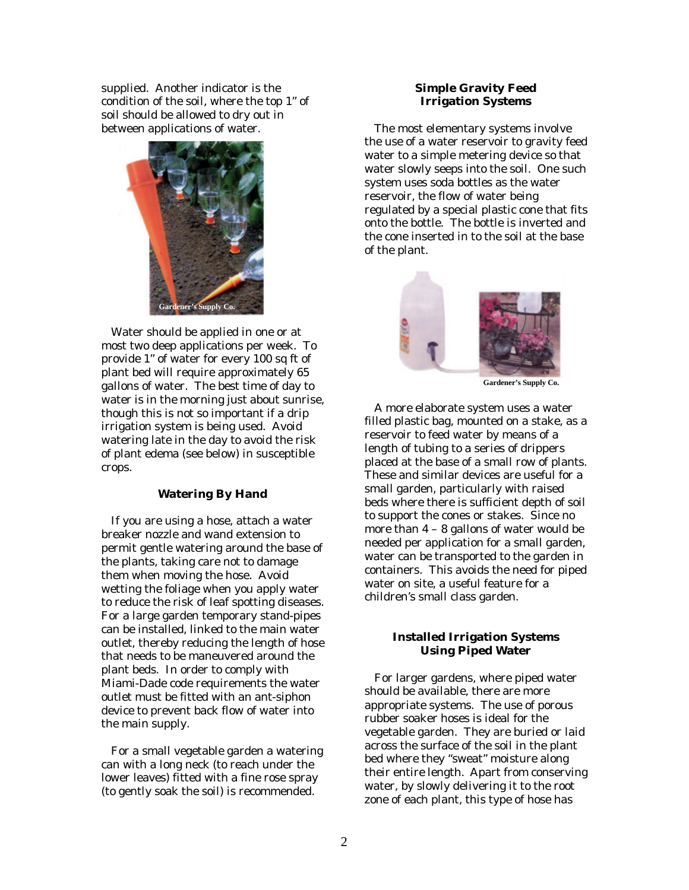supplied. Another indicator is the condition of the soil, where the top 1" of soil should be allowed to dry out in between applications of water.



 Water should be applied in one or at most two deep applications per week. To provide 1" of water for every 100 sq ft of plant bed will require approximately 65 gallons of water. The best time of day to water is in the morning just about sunrise, though this is not so important if a drip irrigation system is being used. Avoid watering late in the day to avoid the risk of plant edema (see below) in susceptible crops.

# **Watering By Hand**

 If you are using a hose, attach a water breaker nozzle and wand extension to permit gentle watering around the base of the plants, taking care not to damage them when moving the hose. Avoid wetting the foliage when you apply water to reduce the risk of leaf spotting diseases. For a large garden temporary stand-pipes can be installed, linked to the main water outlet, thereby reducing the length of hose that needs to be maneuvered around the plant beds. In order to comply with Miami-Dade code requirements the water outlet must be fitted with an ant-siphon device to prevent back flow of water into the main supply.

 For a small vegetable garden a watering can with a long neck (to reach under the lower leaves) fitted with a fine rose spray (to gently soak the soil) is recommended.

## **Simple Gravity Feed Irrigation Systems**

 The most elementary systems involve the use of a water reservoir to gravity feed water to a simple metering device so that water slowly seeps into the soil. One such system uses soda bottles as the water reservoir, the flow of water being regulated by a special plastic cone that fits onto the bottle. The bottle is inverted and the cone inserted in to the soil at the base of the plant.



**Gardener's Supply Co.**

 A more elaborate system uses a water filled plastic bag, mounted on a stake, as a reservoir to feed water by means of a length of tubing to a series of drippers placed at the base of a small row of plants. These and similar devices are useful for a small garden, particularly with raised beds where there is sufficient depth of soil to support the cones or stakes. Since no more than 4 – 8 gallons of water would be needed per application for a small garden, water can be transported to the garden in containers. This avoids the need for piped water on site, a useful feature for a children's small class garden.

## **Installed Irrigation Systems Using Piped Water**

 For larger gardens, where piped water should be available, there are more appropriate systems. The use of porous rubber soaker hoses is ideal for the vegetable garden. They are buried or laid across the surface of the soil in the plant bed where they "sweat" moisture along their entire length. Apart from conserving water, by slowly delivering it to the root zone of each plant, this type of hose has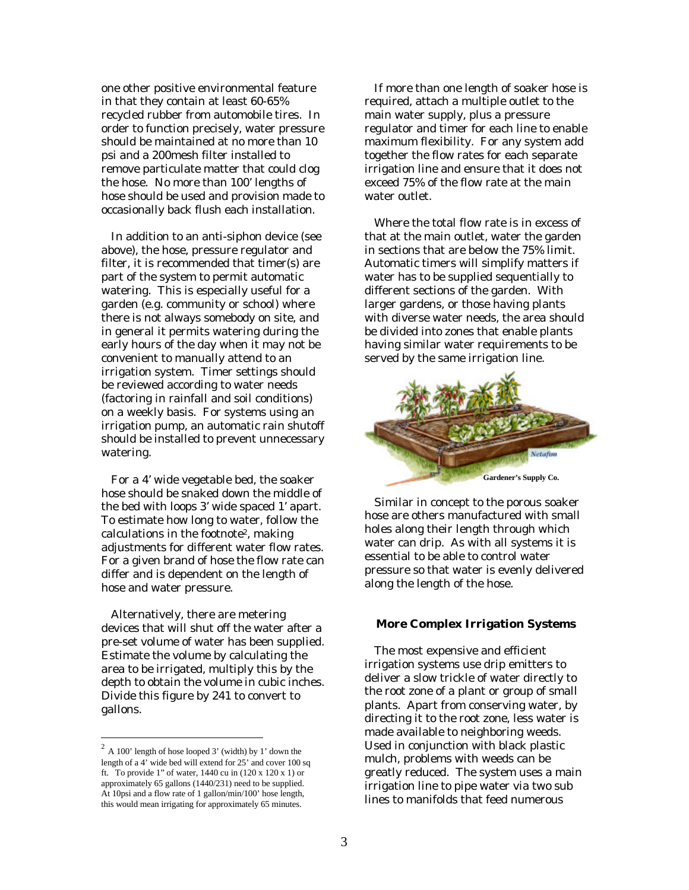one other positive environmental feature in that they contain at least 60-65% recycled rubber from automobile tires. In order to function precisely, water pressure should be maintained at no more than 10 psi and a 200mesh filter installed to remove particulate matter that could clog the hose. No more than 100' lengths of hose should be used and provision made to occasionally back flush each installation.

 In addition to an anti-siphon device (see above), the hose, pressure regulator and filter, it is recommended that timer(s) are part of the system to permit automatic watering. This is especially useful for a garden (e.g. community or school) where there is not always somebody on site, and in general it permits watering during the early hours of the day when it may not be convenient to manually attend to an irrigation system. Timer settings should be reviewed according to water needs (factoring in rainfall and soil conditions) on a weekly basis. For systems using an irrigation pump, an automatic rain shutoff should be installed to prevent unnecessary watering.

 For a 4' wide vegetable bed, the soaker hose should be snaked down the middle of the bed with loops 3' wide spaced 1' apart. To estimate how long to water, follow the calculations in the footnote2, making adjustments for different water flow rates. For a given brand of hose the flow rate can differ and is dependent on the length of hose and water pressure.

 Alternatively, there are metering devices that will shut off the water after a pre-set volume of water has been supplied. Estimate the volume by calculating the area to be irrigated, multiply this by the depth to obtain the volume in cubic inches. Divide this figure by 241 to convert to gallons.

 If more than one length of soaker hose is required, attach a multiple outlet to the main water supply, plus a pressure regulator and timer for each line to enable maximum flexibility. For any system add together the flow rates for each separate irrigation line and ensure that it does not exceed 75% of the flow rate at the main water outlet.

 Where the total flow rate is in excess of that at the main outlet, water the garden in sections that are below the 75% limit. Automatic timers will simplify matters if water has to be supplied sequentially to different sections of the garden. With larger gardens, or those having plants with diverse water needs, the area should be divided into zones that enable plants having similar water requirements to be served by the same irrigation line.



 Similar in concept to the porous soaker hose are others manufactured with small holes along their length through which water can drip. As with all systems it is essential to be able to control water pressure so that water is evenly delivered along the length of the hose.

#### **More Complex Irrigation Systems**

 The most expensive and efficient irrigation systems use drip emitters to deliver a slow trickle of water directly to the root zone of a plant or group of small plants. Apart from conserving water, by directing it to the root zone, less water is made available to neighboring weeds. Used in conjunction with black plastic mulch, problems with weeds can be greatly reduced. The system uses a main irrigation line to pipe water via two sub lines to manifolds that feed numerous

 2 A 100' length of hose looped 3' (width) by 1' down the length of a 4' wide bed will extend for 25' and cover 100 sq ft. To provide 1" of water, 1440 cu in (120 x 120 x 1) or approximately 65 gallons (1440/231) need to be supplied. At 10psi and a flow rate of 1 gallon/min/100' hose length, this would mean irrigating for approximately 65 minutes.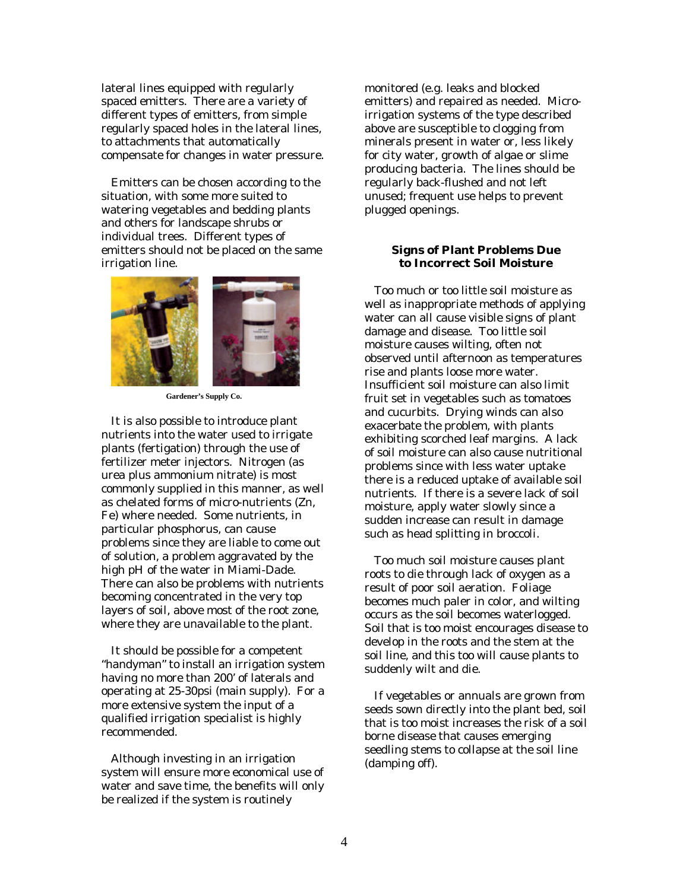lateral lines equipped with regularly spaced emitters. There are a variety of different types of emitters, from simple regularly spaced holes in the lateral lines, to attachments that automatically compensate for changes in water pressure.

 Emitters can be chosen according to the situation, with some more suited to watering vegetables and bedding plants and others for landscape shrubs or individual trees. Different types of emitters should not be placed on the same irrigation line.



**Gardener's Supply Co.**

 It is also possible to introduce plant nutrients into the water used to irrigate plants (fertigation) through the use of fertilizer meter injectors. Nitrogen (as urea plus ammonium nitrate) is most commonly supplied in this manner, as well as chelated forms of micro-nutrients (Zn, Fe) where needed. Some nutrients, in particular phosphorus, can cause problems since they are liable to come out of solution, a problem aggravated by the high pH of the water in Miami-Dade. There can also be problems with nutrients becoming concentrated in the very top layers of soil, above most of the root zone, where they are unavailable to the plant.

 It should be possible for a competent "handyman" to install an irrigation system having no more than 200' of laterals and operating at 25-30psi (main supply). For a more extensive system the input of a qualified irrigation specialist is highly recommended.

 Although investing in an irrigation system will ensure more economical use of water and save time, the benefits will only be realized if the system is routinely

monitored (e.g. leaks and blocked emitters) and repaired as needed. Microirrigation systems of the type described above are susceptible to clogging from minerals present in water or, less likely for city water, growth of algae or slime producing bacteria. The lines should be regularly back-flushed and not left unused; frequent use helps to prevent plugged openings.

### **Signs of Plant Problems Due to Incorrect Soil Moisture**

 Too much or too little soil moisture as well as inappropriate methods of applying water can all cause visible signs of plant damage and disease. Too little soil moisture causes wilting, often not observed until afternoon as temperatures rise and plants loose more water. Insufficient soil moisture can also limit fruit set in vegetables such as tomatoes and cucurbits. Drying winds can also exacerbate the problem, with plants exhibiting scorched leaf margins. A lack of soil moisture can also cause nutritional problems since with less water uptake there is a reduced uptake of available soil nutrients. If there is a severe lack of soil moisture, apply water slowly since a sudden increase can result in damage such as head splitting in broccoli.

 Too much soil moisture causes plant roots to die through lack of oxygen as a result of poor soil aeration. Foliage becomes much paler in color, and wilting occurs as the soil becomes waterlogged. Soil that is too moist encourages disease to develop in the roots and the stem at the soil line, and this too will cause plants to suddenly wilt and die.

 If vegetables or annuals are grown from seeds sown directly into the plant bed, soil that is too moist increases the risk of a soil borne disease that causes emerging seedling stems to collapse at the soil line (damping off).